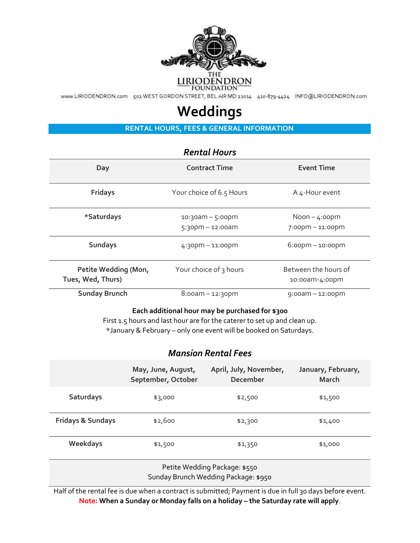

WWW.LIRIODENDRON.com 502 WEST GORDON STREET, BEL AIR MD 21014 410-879-4424 INFO@LIRIODENDRON.com

## **Weddings**

**RENTAL HOURS, FEES & GENERAL INFORMATION** 

## *Rental Hours*

| Day                                       | <b>Contract Time</b><br><b>Event Time</b>    |                                           |
|-------------------------------------------|----------------------------------------------|-------------------------------------------|
| <b>Fridays</b>                            | Your choice of 6.5 Hours                     | A 4-Hour event                            |
| *Saturdays                                | $10:30$ am – 5:00pm<br>$5:30$ pm - 12:00am   | $N$ oon $-$ 4:00pm<br>$7:00$ pm – 11:00pm |
| <b>Sundays</b>                            | $6:00$ pm $-10:00$ pm<br>$4:30$ pm – 11:00pm |                                           |
| Petite Wedding (Mon,<br>Tues, Wed, Thurs) | Your choice of 3 hours                       | Between the hours of<br>10:00am-4:00pm    |
| <b>Sunday Brunch</b>                      | $8:00am - 12:30pm$                           | $9:00$ am – 12:00pm                       |

## **Each additional hour may be purchased for \$300**

First 1.5 hours and last hour are for the caterer to set up and clean up. \*January & February – only one event will be booked on Saturdays.

## *Mansion Rental Fees*

|                              | May, June, August,<br>September, October | April, July, November,<br>December | January, February,<br>March |
|------------------------------|------------------------------------------|------------------------------------|-----------------------------|
| Saturdays                    | \$3,000                                  | \$2,500                            | \$1,500                     |
| <b>Fridays &amp; Sundays</b> | \$2,600                                  | \$2,300                            | \$1,400                     |
| Weekdays                     | \$1,500                                  | \$1,350                            | \$1,000                     |
|                              |                                          |                                    |                             |

Petite Wedding Package: \$550 Sunday Brunch Wedding Package: \$950

Half of the rental fee is due when a contract is submitted; Payment is due in full 30 days before event. **Note:** When a Sunday or Monday falls on a holiday – the Saturday rate will apply.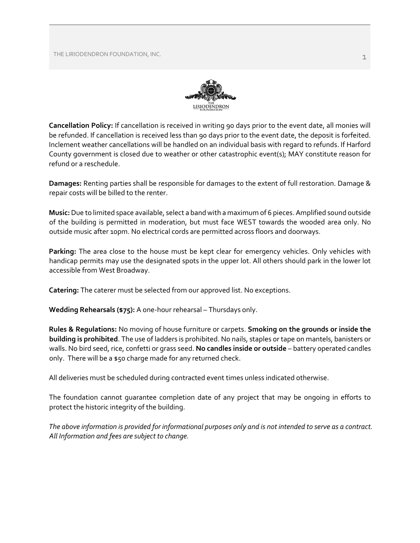THE LIRIODENDRON FOUNDATION, INC. And the state of the state of the state of the state of the state of the state of the state of the state of the state of the state of the state of the state of the state of the state of th



**Cancellation Policy:** If cancellation is received in writing 90 days prior to the event date, all monies will be refunded. If cancellation is received less than 90 days prior to the event date, the deposit is forfeited. Inclement weather cancellations will be handled on an individual basis with regard to refunds. If Harford County government is closed due to weather or other catastrophic event(s); MAY constitute reason for refund or a reschedule.

**Damages:** Renting parties shall be responsible for damages to the extent of full restoration. Damage & repair costs will be billed to the renter.

**Music:**Due to limited space available, select a band with a maximum of 6 pieces. Amplified sound outside of the building is permitted in moderation, but must face WEST towards the wooded area only. No outside music after 10pm. No electrical cords are permitted across floors and doorways.

**Parking:** The area close to the house must be kept clear for emergency vehicles. Only vehicles with handicap permits may use the designated spots in the upper lot. All others should park in the lower lot accessible from West Broadway.

**Catering:** The caterer must be selected from our approved list. No exceptions.

**Wedding Rehearsals (\$75):** A one-hour rehearsal – Thursdays only.

**Rules & Regulations:** No moving of house furniture or carpets. **Smoking on the grounds or inside the building is prohibited**. The use of ladders is prohibited. No nails, staples or tape on mantels, banisters or walls. No bird seed, rice, confetti or grass seed. **No candles inside or outside** – battery operated candles only. There will be a \$50 charge made for any returned check.

All deliveries must be scheduled during contracted event times unless indicated otherwise.

The foundation cannot guarantee completion date of any project that may be ongoing in efforts to protect the historic integrity of the building.

*The above information is provided for informational purposes only and is not intended to serve as a contract. All Information and fees are subject to change.*